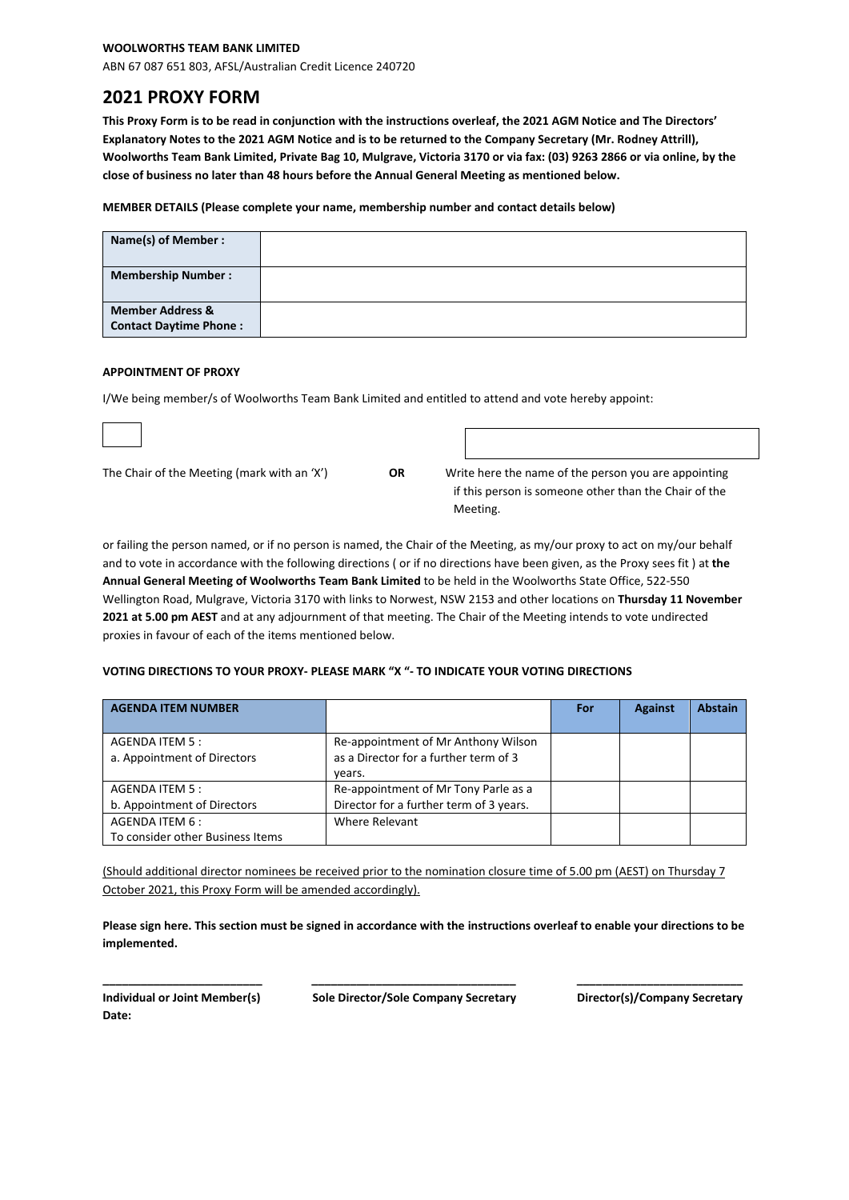### **WOOLWORTHS TEAM BANK LIMITED**

ABN 67 087 651 803, AFSL/Australian Credit Licence 240720

# **2021 PROXY FORM**

**This Proxy Form is to be read in conjunction with the instructions overleaf, the 2021 AGM Notice and The Directors' Explanatory Notes to the 2021 AGM Notice and is to be returned to the Company Secretary (Mr. Rodney Attrill), Woolworths Team Bank Limited, Private Bag 10, Mulgrave, Victoria 3170 or via fax: (03) 9263 2866 or via online, by the close of business no later than 48 hours before the Annual General Meeting as mentioned below.**

**MEMBER DETAILS (Please complete your name, membership number and contact details below)**

| Name(s) of Member :                                          |  |
|--------------------------------------------------------------|--|
| <b>Membership Number:</b>                                    |  |
| <b>Member Address &amp;</b><br><b>Contact Daytime Phone:</b> |  |

#### **APPOINTMENT OF PROXY**

I/We being member/s of Woolworths Team Bank Limited and entitled to attend and vote hereby appoint:

| The Chair of the Meeting (mark with an 'X') |  |
|---------------------------------------------|--|
|---------------------------------------------|--|

OR Write here the name of the person you are appointing if this person is someone other than the Chair of the **Meeting.** The contract of the contract of the contract of the contract of the contract of the contract of the contract of the contract of the contract of the contract of the contract of the contract of the contract of the

or failing the person named, or if no person is named, the Chair of the Meeting, as my/our proxy to act on my/our behalf and to vote in accordance with the following directions ( or if no directions have been given, as the Proxy sees fit ) at **the Annual General Meeting of Woolworths Team Bank Limited** to be held in the Woolworths State Office, 522-550 Wellington Road, Mulgrave, Victoria 3170 with links to Norwest, NSW 2153 and other locations on **Thursday 11 November 2021 at 5.00 pm AEST** and at any adjournment of that meeting. The Chair of the Meeting intends to vote undirected proxies in favour of each of the items mentioned below.

#### **VOTING DIRECTIONS TO YOUR PROXY- PLEASE MARK "X "- TO INDICATE YOUR VOTING DIRECTIONS**

| <b>AGENDA ITEM NUMBER</b>        |                                         | For | <b>Against</b> | <b>Abstain</b> |
|----------------------------------|-----------------------------------------|-----|----------------|----------------|
|                                  |                                         |     |                |                |
| AGENDA ITEM 5 :                  | Re-appointment of Mr Anthony Wilson     |     |                |                |
| a. Appointment of Directors      | as a Director for a further term of 3   |     |                |                |
|                                  | years.                                  |     |                |                |
| AGENDA ITEM 5 :                  | Re-appointment of Mr Tony Parle as a    |     |                |                |
| b. Appointment of Directors      | Director for a further term of 3 years. |     |                |                |
| AGENDA ITEM 6 :                  | Where Relevant                          |     |                |                |
| To consider other Business Items |                                         |     |                |                |

(Should additional director nominees be received prior to the nomination closure time of 5.00 pm (AEST) on Thursday 7 October 2021, this Proxy Form will be amended accordingly).

**Please sign here. This section must be signed in accordance with the instructions overleaf to enable your directions to be implemented.**

**Date:**

**\_\_\_\_\_\_\_\_\_\_\_\_\_\_\_\_\_\_\_\_\_\_\_\_\_ \_\_\_\_\_\_\_\_\_\_\_\_\_\_\_\_\_\_\_\_\_\_\_\_\_\_\_\_\_\_\_\_ \_\_\_\_\_\_\_\_\_\_\_\_\_\_\_\_\_\_\_\_\_\_\_\_\_\_ Individual or Joint Member(s) Sole Director/Sole Company Secretary Director(s)/Company Secretary**